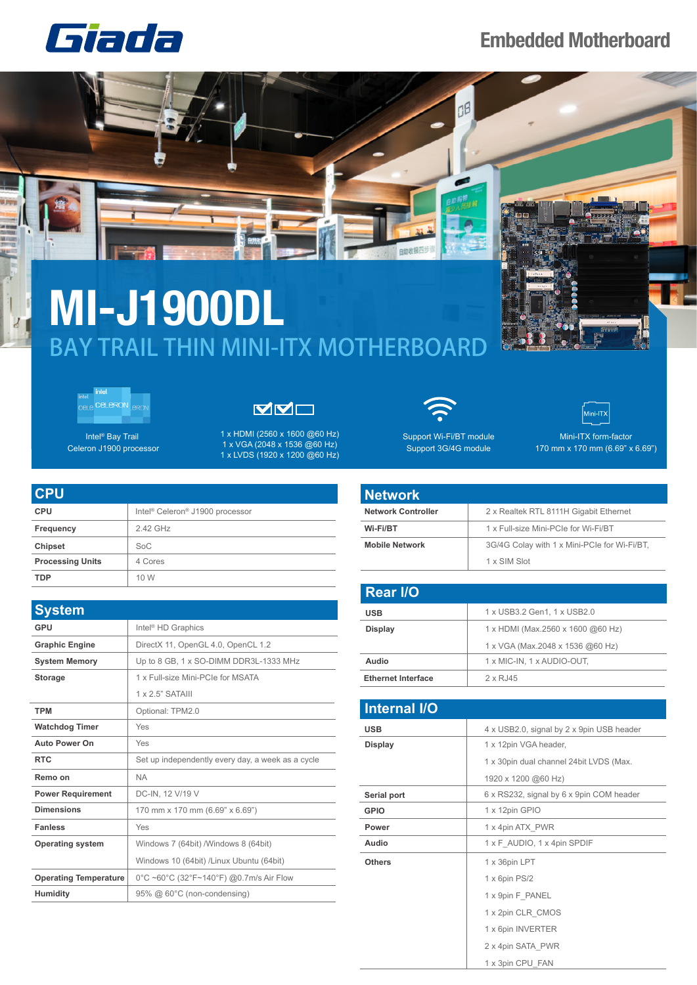

## **Embedded Motherboard**

## **MI-J1900DL** BAY TRAIL THIN MINI-ITX MOTHERBOARD



 $|J|$ 

Intel® Bay Trail Celeron J1900 processor VVO

1 x HDMI (2560 x 1600 @60 Hz) 1 x VGA (2048 x 1536 @60 Hz) 1 x LVDS (1920 x 1200 @60 Hz)

OB

Support Wi-Fi/BT module Support 3G/4G module



Mini-ITX form-factor 170 mm x 170 mm (6.69" x 6.69")

| <b>CPU</b>              |                                                         |
|-------------------------|---------------------------------------------------------|
| <b>CPU</b>              | Intel <sup>®</sup> Celeron <sup>®</sup> J1900 processor |
| Frequency               | 2.42 GHz                                                |
| <b>Chipset</b>          | SoC                                                     |
| <b>Processing Units</b> | 4 Cores                                                 |
| <b>TDP</b>              | 10 W                                                    |

| <b>System</b>                |                                                   |
|------------------------------|---------------------------------------------------|
| GPU                          | Intel <sup>®</sup> HD Graphics                    |
| <b>Graphic Engine</b>        | DirectX 11, OpenGL 4.0, OpenCL 1.2                |
| <b>System Memory</b>         | Up to 8 GB, 1 x SO-DIMM DDR3L-1333 MHz            |
| <b>Storage</b>               | 1 x Full-size Mini-PCIe for MSATA                 |
|                              | $1 \times 2$ 5" SATAIII                           |
| <b>TPM</b>                   | Optional: TPM2.0                                  |
| <b>Watchdog Timer</b>        | Yes                                               |
| <b>Auto Power On</b>         | Yes                                               |
| <b>RTC</b>                   | Set up independently every day, a week as a cycle |
| Remo on                      | <b>NA</b>                                         |
| <b>Power Requirement</b>     | DC-IN, 12 V/19 V                                  |
| <b>Dimensions</b>            | 170 mm x 170 mm (6.69" x 6.69")                   |
| <b>Fanless</b>               | Yes                                               |
| <b>Operating system</b>      | Windows 7 (64bit) /Windows 8 (64bit)              |
|                              | Windows 10 (64bit) /Linux Ubuntu (64bit)          |
| <b>Operating Temperature</b> | 0°C ~60°C (32°F~140°F) @0.7m/s Air Flow           |
| <b>Humidity</b>              | 95% @ 60°C (non-condensing)                       |

## **Network**

白助收银

| .                         |                                              |
|---------------------------|----------------------------------------------|
| <b>Network Controller</b> | 2 x Realtek RTL 8111H Gigabit Ethernet       |
| Wi-Fi/BT                  | 1 x Full-size Mini-PCIe for Wi-Fi/BT         |
| <b>Mobile Network</b>     | 3G/4G Colay with 1 x Mini-PCIe for Wi-Fi/BT. |
|                           | 1 x SIM Slot                                 |

| <b>Rear I/O</b>           |                                   |  |
|---------------------------|-----------------------------------|--|
| <b>USB</b>                | 1 x USB3.2 Gen1, 1 x USB2.0       |  |
| Display                   | 1 x HDMI (Max.2560 x 1600 @60 Hz) |  |
|                           | 1 x VGA (Max.2048 x 1536 @60 Hz)  |  |
| Audio                     | 1 x MIC-IN, 1 x AUDIO-OUT,        |  |
| <b>Ethernet Interface</b> | 2 x RJ45                          |  |

| <b>Internal I/O</b> |                                           |
|---------------------|-------------------------------------------|
| <b>USB</b>          | 4 x USB2.0, signal by 2 x 9pin USB header |
| <b>Display</b>      | 1 x 12pin VGA header,                     |
|                     | 1 x 30pin dual channel 24bit LVDS (Max.   |
|                     | 1920 x 1200 @60 Hz)                       |
| Serial port         | 6 x RS232, signal by 6 x 9pin COM header  |
| <b>GPIO</b>         | 1 x 12pin GPIO                            |
| Power               | 1 x 4pin ATX PWR                          |
| Audio               | 1 x F AUDIO, 1 x 4pin SPDIF               |
| <b>Others</b>       | 1 x 36pin LPT                             |
|                     | 1 x 6pin PS/2                             |
|                     | 1 x 9pin F_PANEL                          |
|                     | 1 x 2pin CLR CMOS                         |
|                     | 1 x 6pin INVERTER                         |
|                     | 2 x 4pin SATA PWR                         |
|                     | 1 x 3pin CPU FAN                          |